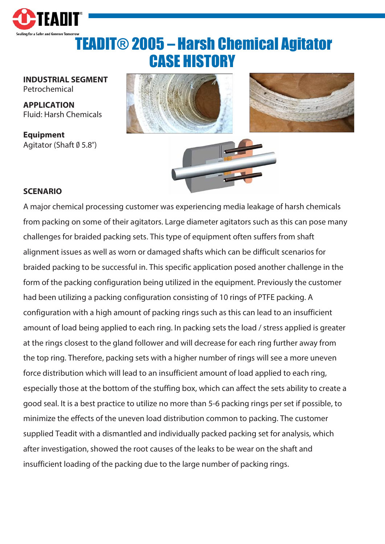

## TEADIT® 2005 – Harsh Chemical Agitator CASE HISTORY

**INDUSTRIAL SEGMENT** Petrochemical

**APPLICATION** Fluid: Harsh Chemicals

**Equipment** Agitator (Shaft Ø 5.8")



## **SCENARIO**

A major chemical processing customer was experiencing media leakage of harsh chemicals from packing on some of their agitators. Large diameter agitators such as this can pose many challenges for braided packing sets. This type of equipment often suffers from shaft alignment issues as well as worn or damaged shafts which can be difficult scenarios for braided packing to be successful in. This specific application posed another challenge in the form of the packing configuration being utilized in the equipment. Previously the customer had been utilizing a packing configuration consisting of 10 rings of PTFE packing. A configuration with a high amount of packing rings such as this can lead to an insufficient amount of load being applied to each ring. In packing sets the load / stress applied is greater at the rings closest to the gland follower and will decrease for each ring further away from the top ring. Therefore, packing sets with a higher number of rings will see a more uneven force distribution which will lead to an insufficient amount of load applied to each ring, especially those at the bottom of the stuffing box, which can affect the sets ability to create a good seal. It is a best practice to utilize no more than 5-6 packing rings per set if possible, to minimize the effects of the uneven load distribution common to packing. The customer supplied Teadit with a dismantled and individually packed packing set for analysis, which after investigation, showed the root causes of the leaks to be wear on the shaft and insufficient loading of the packing due to the large number of packing rings.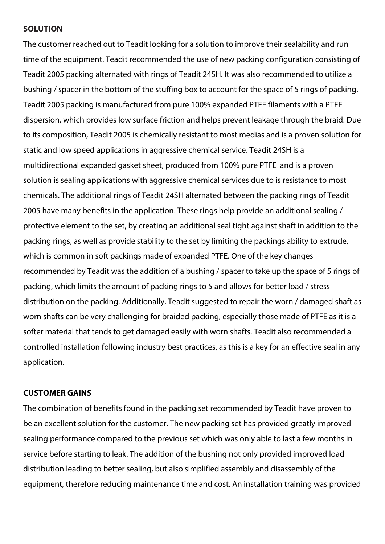## **SOLUTION**

The customer reached out to Teadit looking for a solution to improve their sealability and run time of the equipment. Teadit recommended the use of new packing configuration consisting of Teadit 2005 packing alternated with rings of Teadit 24SH. It was also recommended to utilize a bushing / spacer in the bottom of the stuffing box to account for the space of 5 rings of packing. Teadit 2005 packing is manufactured from pure 100% expanded PTFE filaments with a PTFE dispersion, which provides low surface friction and helps prevent leakage through the braid. Due to its composition, Teadit 2005 is chemically resistant to most medias and is a proven solution for static and low speed applications in aggressive chemical service. Teadit 24SH is a multidirectional expanded gasket sheet, produced from 100% pure PTFE and is a proven solution is sealing applications with aggressive chemical services due to is resistance to most chemicals. The additional rings of Teadit 24SH alternated between the packing rings of Teadit 2005 have many benefits in the application. These rings help provide an additional sealing / protective element to the set, by creating an additional seal tight against shaft in addition to the packing rings, as well as provide stability to the set by limiting the packings ability to extrude, which is common in soft packings made of expanded PTFE. One of the key changes recommended by Teadit was the addition of a bushing / spacer to take up the space of 5 rings of packing, which limits the amount of packing rings to 5 and allows for better load / stress distribution on the packing. Additionally, Teadit suggested to repair the worn / damaged shaft as worn shafts can be very challenging for braided packing, especially those made of PTFE as it is a softer material that tends to get damaged easily with worn shafts. Teadit also recommended a controlled installation following industry best practices, as this is a key for an effective seal in any application.

## **CUSTOMER GAINS**

The combination of benefits found in the packing set recommended by Teadit have proven to be an excellent solution for the customer. The new packing set has provided greatly improved sealing performance compared to the previous set which was only able to last a few months in service before starting to leak. The addition of the bushing not only provided improved load distribution leading to better sealing, but also simplified assembly and disassembly of the equipment, therefore reducing maintenance time and cost. An installation training was provided